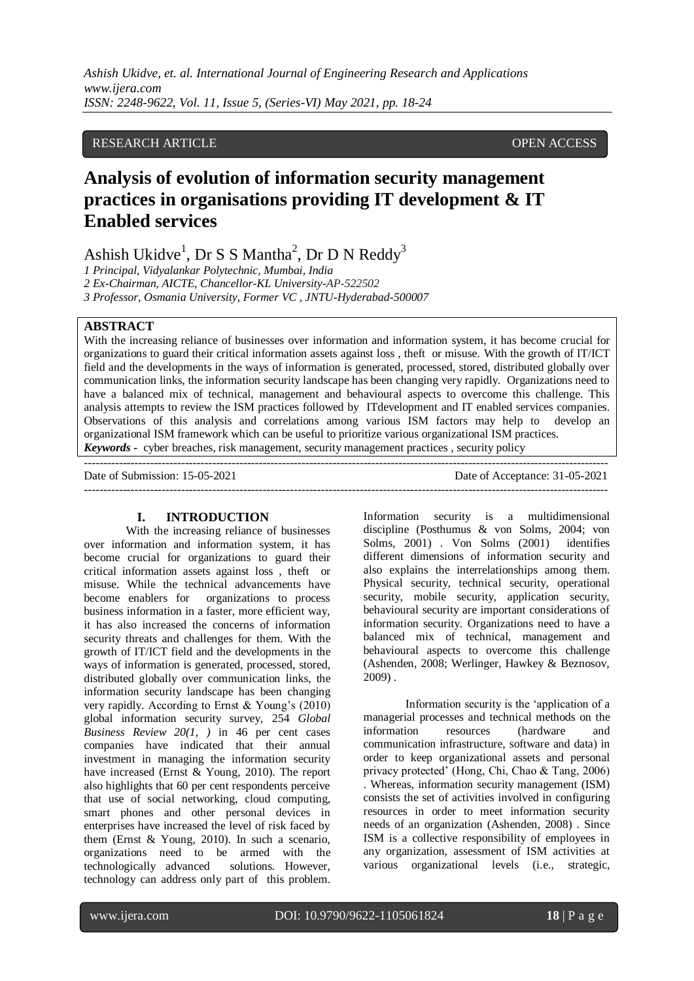*Ashish Ukidve, et. al. International Journal of Engineering Research and Applications www.ijera.com ISSN: 2248-9622, Vol. 11, Issue 5, (Series-VI) May 2021, pp. 18-24*

# RESEARCH ARTICLE OPEN ACCESS

# **Analysis of evolution of information security management practices in organisations providing IT development & IT Enabled services**

Ashish Ukidve<sup>1</sup>, Dr S S Mantha<sup>2</sup>, Dr D N Reddy<sup>3</sup>

*1 Principal, Vidyalankar Polytechnic, Mumbai, India 2 Ex-Chairman, AICTE, Chancellor-KL University-AP-522502 3 Professor, Osmania University, Former VC , JNTU-Hyderabad-500007*

# **ABSTRACT**

With the increasing reliance of businesses over information and information system, it has become crucial for organizations to guard their critical information assets against loss , theft or misuse. With the growth of IT/ICT field and the developments in the ways of information is generated, processed, stored, distributed globally over communication links, the information security landscape has been changing very rapidly. Organizations need to have a balanced mix of technical, management and behavioural aspects to overcome this challenge. This analysis attempts to review the ISM practices followed by ITdevelopment and IT enabled services companies. Observations of this analysis and correlations among various ISM factors may help to develop an organizational ISM framework which can be useful to prioritize various organizational ISM practices. *Keywords -* cyber breaches, risk management, security management practices , security policy

---------------------------------------------------------------------------------------------------------------------------------------

 $-++++++++++$ 

Date of Submission: 15-05-2021 Date of Acceptance: 31-05-2021

#### **I. INTRODUCTION**

With the increasing reliance of businesses over information and information system, it has become crucial for organizations to guard their critical information assets against loss , theft or misuse. While the technical advancements have become enablers for organizations to process business information in a faster, more efficient way, it has also increased the concerns of information security threats and challenges for them. With the growth of IT/ICT field and the developments in the ways of information is generated, processed, stored, distributed globally over communication links, the information security landscape has been changing very rapidly. According to Ernst & Young's (2010) global information security survey, 254 *Global Business Review 20(1, )* in 46 per cent cases companies have indicated that their annual investment in managing the information security have increased (Ernst & Young, 2010). The report also highlights that 60 per cent respondents perceive that use of social networking, cloud computing, smart phones and other personal devices in enterprises have increased the level of risk faced by them (Ernst & Young, 2010). In such a scenario, organizations need to be armed with the technologically advanced solutions. However, technology can address only part of this problem. Information security is a multidimensional discipline (Posthumus & von Solms, 2004; von Solms, 2001) . Von Solms (2001) identifies different dimensions of information security and also explains the interrelationships among them. Physical security, technical security, operational security, mobile security, application security, behavioural security are important considerations of information security. Organizations need to have a balanced mix of technical, management and behavioural aspects to overcome this challenge (Ashenden, 2008; Werlinger, Hawkey & Beznosov, 2009) .

Information security is the 'application of a managerial processes and technical methods on the information resources (hardware and communication infrastructure, software and data) in order to keep organizational assets and personal privacy protected' (Hong, Chi, Chao & Tang, 2006) . Whereas, information security management (ISM) consists the set of activities involved in configuring resources in order to meet information security needs of an organization (Ashenden, 2008) . Since ISM is a collective responsibility of employees in any organization, assessment of ISM activities at various organizational levels (i.e., strategic,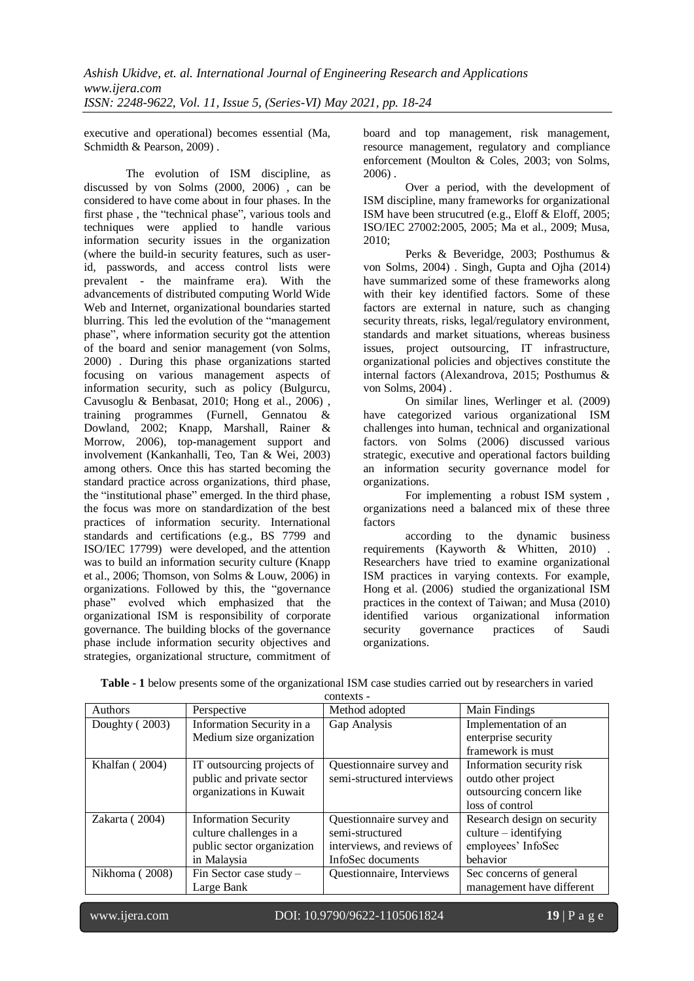executive and operational) becomes essential (Ma, Schmidth & Pearson, 2009).

The evolution of ISM discipline, as discussed by von Solms (2000, 2006) , can be considered to have come about in four phases. In the first phase , the "technical phase", various tools and techniques were applied to handle various information security issues in the organization (where the build-in security features, such as userid, passwords, and access control lists were prevalent - the mainframe era). With the advancements of distributed computing World Wide Web and Internet, organizational boundaries started blurring. This led the evolution of the "management phase", where information security got the attention of the board and senior management (von Solms, 2000) . During this phase organizations started focusing on various management aspects of information security, such as policy (Bulgurcu, Cavusoglu & Benbasat, 2010; Hong et al., 2006) , training programmes (Furnell, Gennatou & Dowland, 2002; Knapp, Marshall, Rainer & Morrow, 2006), top-management support and involvement (Kankanhalli, Teo, Tan & Wei, 2003) among others. Once this has started becoming the standard practice across organizations, third phase, the "institutional phase" emerged. In the third phase, the focus was more on standardization of the best practices of information security. International standards and certifications (e.g., BS 7799 and ISO/IEC 17799) were developed, and the attention was to build an information security culture (Knapp et al., 2006; Thomson, von Solms & Louw, 2006) in organizations. Followed by this, the "governance phase" evolved which emphasized that the organizational ISM is responsibility of corporate governance. The building blocks of the governance phase include information security objectives and strategies, organizational structure, commitment of board and top management, risk management, resource management, regulatory and compliance enforcement (Moulton & Coles, 2003; von Solms,  $2006$ ).

Over a period, with the development of ISM discipline, many frameworks for organizational ISM have been strucutred (e.g., Eloff & Eloff, 2005; ISO/IEC 27002:2005, 2005; Ma et al., 2009; Musa, 2010;

Perks & Beveridge, 2003; Posthumus & von Solms, 2004) . Singh, Gupta and Ojha (2014) have summarized some of these frameworks along with their key identified factors. Some of these factors are external in nature, such as changing security threats, risks, legal/regulatory environment, standards and market situations, whereas business issues, project outsourcing, IT infrastructure, organizational policies and objectives constitute the internal factors (Alexandrova, 2015; Posthumus & von Solms, 2004) .

On similar lines, Werlinger et al. (2009) have categorized various organizational ISM challenges into human, technical and organizational factors. von Solms (2006) discussed various strategic, executive and operational factors building an information security governance model for organizations.

For implementing a robust ISM system , organizations need a balanced mix of these three factors

according to the dynamic business requirements (Kayworth & Whitten, 2010) . Researchers have tried to examine organizational ISM practices in varying contexts. For example, Hong et al. (2006) studied the organizational ISM practices in the context of Taiwan; and Musa (2010) identified various organizational information security governance practices of Saudi organizations.

| Authors        | Perspective                 | Method adopted             | Main Findings               |
|----------------|-----------------------------|----------------------------|-----------------------------|
| Doughty (2003) | Information Security in a   | Gap Analysis               | Implementation of an        |
|                | Medium size organization    |                            | enterprise security         |
|                |                             |                            | framework is must           |
| Khalfan (2004) | IT outsourcing projects of  | Questionnaire survey and   | Information security risk   |
|                | public and private sector   | semi-structured interviews | outdo other project         |
|                | organizations in Kuwait     |                            | outsourcing concern like    |
|                |                             |                            | loss of control             |
| Zakarta (2004) | <b>Information Security</b> | Questionnaire survey and   | Research design on security |
|                | culture challenges in a     | semi-structured            | $culture - identifying$     |
|                | public sector organization  | interviews, and reviews of | employees' InfoSec          |
|                | in Malaysia                 | InfoSec documents          | behavior                    |
| Nikhoma (2008) | Fin Sector case study -     | Questionnaire, Interviews  | Sec concerns of general     |
|                | Large Bank                  |                            | management have different   |
|                |                             |                            |                             |

**Table - 1** below presents some of the organizational ISM case studies carried out by researchers in varied contexts -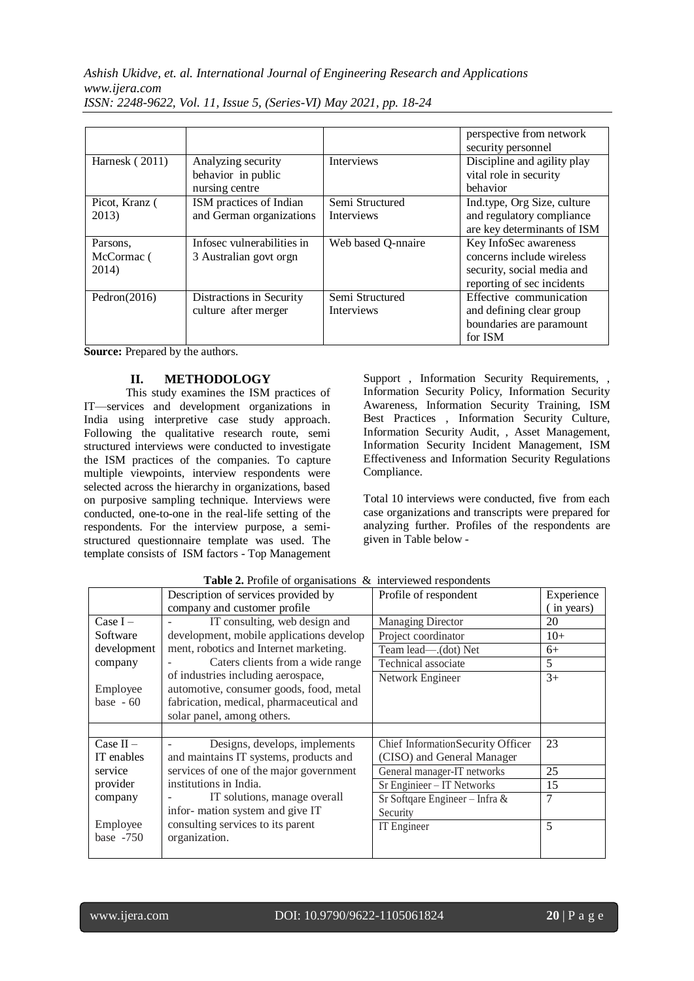*Ashish Ukidve, et. al. International Journal of Engineering Research and Applications www.ijera.com*

|                                 |                                                            |                                      | perspective from network<br>security personnel                                                                 |
|---------------------------------|------------------------------------------------------------|--------------------------------------|----------------------------------------------------------------------------------------------------------------|
| Harnesk (2011)                  | Analyzing security<br>behavior in public<br>nursing centre | <b>Interviews</b>                    | Discipline and agility play<br>vital role in security<br>behavior                                              |
| Picot, Kranz (<br>2013)         | ISM practices of Indian<br>and German organizations        | Semi Structured<br><b>Interviews</b> | Ind.type, Org Size, culture<br>and regulatory compliance<br>are key determinants of ISM                        |
| Parsons.<br>McCormac (<br>2014) | Infosec vulnerabilities in<br>3 Australian govt orgn       | Web based Q-nnaire                   | Key InfoSec awareness<br>concerns include wireless<br>security, social media and<br>reporting of sec incidents |
| Pedron $(2016)$                 | Distractions in Security<br>culture after merger           | Semi Structured<br><b>Interviews</b> | Effective communication<br>and defining clear group<br>boundaries are paramount<br>for ISM                     |

*ISSN: 2248-9622, Vol. 11, Issue 5, (Series-VI) May 2021, pp. 18-24*

**Source:** Prepared by the authors.

# **II. METHODOLOGY**

This study examines the ISM practices of IT—services and development organizations in India using interpretive case study approach. Following the qualitative research route, semi structured interviews were conducted to investigate the ISM practices of the companies. To capture multiple viewpoints, interview respondents were selected across the hierarchy in organizations, based on purposive sampling technique. Interviews were conducted, one-to-one in the real-life setting of the respondents. For the interview purpose, a semistructured questionnaire template was used. The template consists of ISM factors - Top Management Support , Information Security Requirements, , Information Security Policy, Information Security Awareness, Information Security Training, ISM Best Practices , Information Security Culture, Information Security Audit, , Asset Management, Information Security Incident Management, ISM Effectiveness and Information Security Regulations Compliance.

Total 10 interviews were conducted, five from each case organizations and transcripts were prepared for analyzing further. Profiles of the respondents are given in Table below -

|             | Description of services provided by      | Profile of respondent              | Experience |
|-------------|------------------------------------------|------------------------------------|------------|
|             | company and customer profile             |                                    | (in years) |
| $Case I -$  | IT consulting, web design and            | <b>Managing Director</b>           | 20         |
| Software    | development, mobile applications develop | Project coordinator                | $10+$      |
| development | ment, robotics and Internet marketing.   | Team lead—.(dot) Net               | $6+$       |
| company     | Caters clients from a wide range         | Technical associate                | 5          |
|             | of industries including aerospace,       | Network Engineer                   | $3+$       |
| Employee    | automotive, consumer goods, food, metal  |                                    |            |
| base $-60$  | fabrication, medical, pharmaceutical and |                                    |            |
|             | solar panel, among others.               |                                    |            |
|             |                                          |                                    |            |
|             |                                          |                                    |            |
| Case $II -$ | Designs, develops, implements            | Chief Information Security Officer | 23         |
| IT enables  | and maintains IT systems, products and   | (CISO) and General Manager         |            |
| service     | services of one of the major government  | General manager-IT networks        | 25         |
| provider    | institutions in India.                   | Sr Enginieer - IT Networks         | 15         |
| company     | IT solutions, manage overall             | Sr Softqare Engineer - Infra $&$   | 7          |
|             | infor-mation system and give IT          | Security                           |            |
| Employee    | consulting services to its parent        | IT Engineer                        | 5          |
| base $-750$ | organization.                            |                                    |            |

Table 2. Profile of organisations & interviewed respondents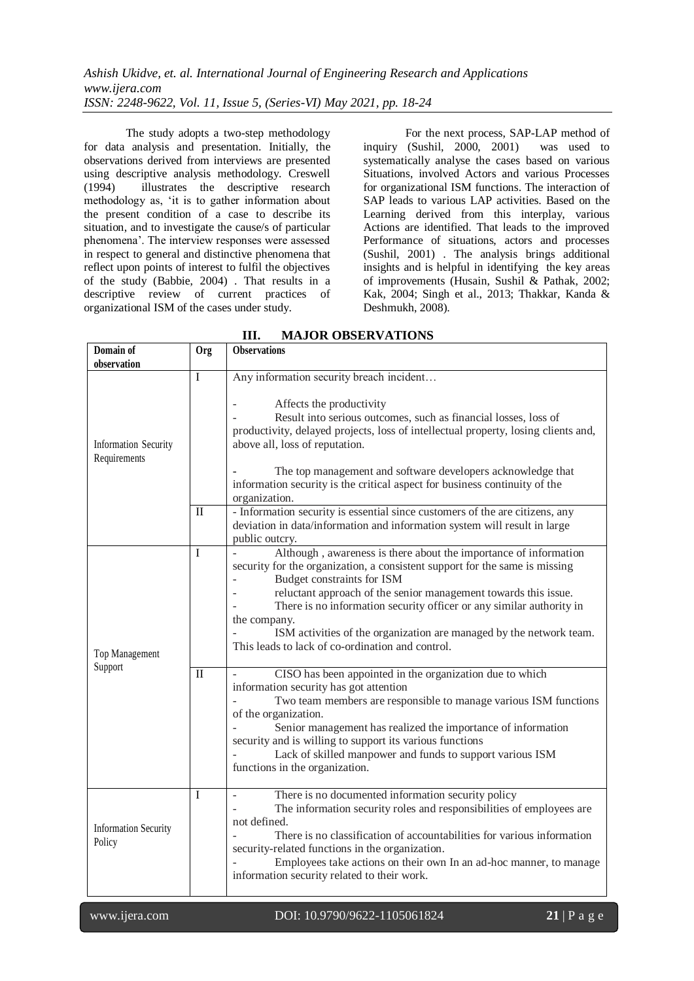The study adopts a two-step methodology for data analysis and presentation. Initially, the observations derived from interviews are presented using descriptive analysis methodology. Creswell (1994) illustrates the descriptive research methodology as, 'it is to gather information about the present condition of a case to describe its situation, and to investigate the cause/s of particular phenomena'. The interview responses were assessed in respect to general and distinctive phenomena that reflect upon points of interest to fulfil the objectives of the study (Babbie, 2004) . That results in a descriptive review of current practices of organizational ISM of the cases under study.

For the next process, SAP-LAP method of inquiry (Sushil, 2000, 2001) was used to systematically analyse the cases based on various Situations, involved Actors and various Processes for organizational ISM functions. The interaction of SAP leads to various LAP activities. Based on the Learning derived from this interplay, various Actions are identified. That leads to the improved Performance of situations, actors and processes (Sushil, 2001) . The analysis brings additional insights and is helpful in identifying the key areas of improvements (Husain, Sushil & Pathak, 2002; Kak, 2004; Singh et al., 2013; Thakkar, Kanda & Deshmukh, 2008).

| Domain of                                   | <b>Org</b>           | <b>Observations</b>                                                                                                                                                                                                                                                                                                                                                                                                                                                                                           |
|---------------------------------------------|----------------------|---------------------------------------------------------------------------------------------------------------------------------------------------------------------------------------------------------------------------------------------------------------------------------------------------------------------------------------------------------------------------------------------------------------------------------------------------------------------------------------------------------------|
| observation                                 |                      |                                                                                                                                                                                                                                                                                                                                                                                                                                                                                                               |
| <b>Information Security</b><br>Requirements | $\mathbf I$<br>$\Pi$ | Any information security breach incident<br>Affects the productivity<br>Result into serious outcomes, such as financial losses, loss of<br>productivity, delayed projects, loss of intellectual property, losing clients and,<br>above all, loss of reputation.<br>The top management and software developers acknowledge that<br>information security is the critical aspect for business continuity of the<br>organization.<br>- Information security is essential since customers of the are citizens, any |
|                                             |                      | deviation in data/information and information system will result in large<br>public outcry.                                                                                                                                                                                                                                                                                                                                                                                                                   |
| Top Management<br>Support                   | I                    | Although, awareness is there about the importance of information<br>security for the organization, a consistent support for the same is missing<br>Budget constraints for ISM<br>reluctant approach of the senior management towards this issue.<br>There is no information security officer or any similar authority in<br>the company.<br>ISM activities of the organization are managed by the network team.<br>This leads to lack of co-ordination and control.                                           |
|                                             | $\mathbf{I}$         | CISO has been appointed in the organization due to which<br>information security has got attention<br>Two team members are responsible to manage various ISM functions<br>of the organization.<br>Senior management has realized the importance of information<br>security and is willing to support its various functions<br>Lack of skilled manpower and funds to support various ISM<br>functions in the organization.                                                                                     |
| <b>Information Security</b><br>Policy       | $\bf{I}$             | There is no documented information security policy<br>÷,<br>The information security roles and responsibilities of employees are<br>not defined.<br>There is no classification of accountabilities for various information<br>security-related functions in the organization.<br>Employees take actions on their own In an ad-hoc manner, to manage<br>information security related to their work.                                                                                                            |

**III. MAJOR OBSERVATIONS**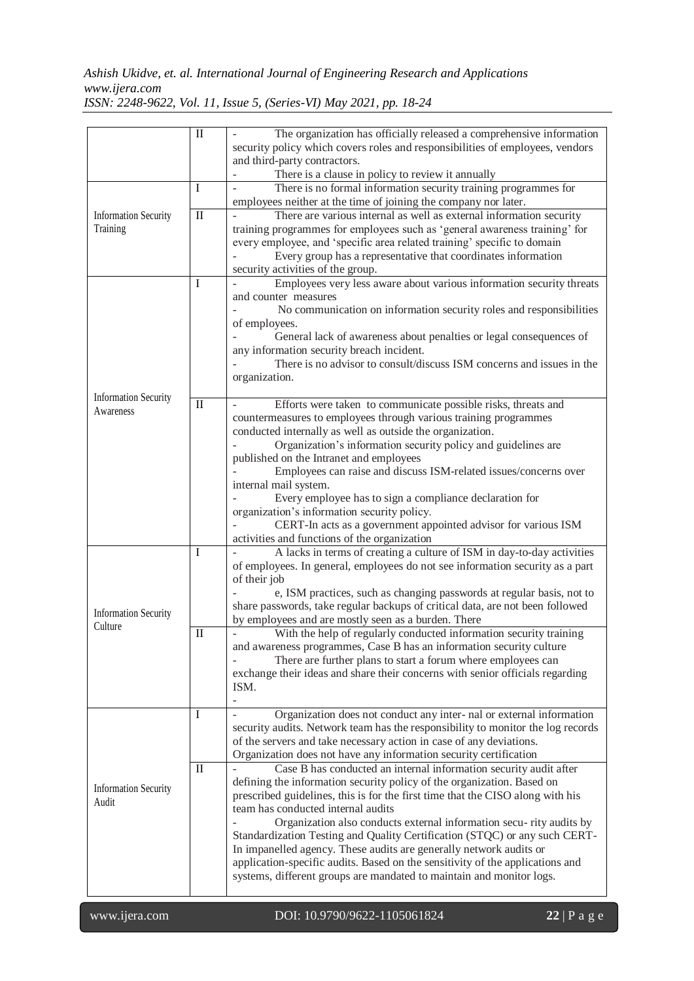*Ashish Ukidve, et. al. International Journal of Engineering Research and Applications www.ijera.com*

|                                         | П            | The organization has officially released a comprehensive information<br>security policy which covers roles and responsibilities of employees, vendors<br>and third-party contractors.                                                                       |
|-----------------------------------------|--------------|-------------------------------------------------------------------------------------------------------------------------------------------------------------------------------------------------------------------------------------------------------------|
|                                         |              | There is a clause in policy to review it annually                                                                                                                                                                                                           |
|                                         | L            | There is no formal information security training programmes for<br>employees neither at the time of joining the company nor later.                                                                                                                          |
|                                         | $\mathbf{I}$ | There are various internal as well as external information security                                                                                                                                                                                         |
| <b>Information Security</b><br>Training |              | training programmes for employees such as 'general awareness training' for<br>every employee, and 'specific area related training' specific to domain<br>Every group has a representative that coordinates information<br>security activities of the group. |
|                                         | -1           | Employees very less aware about various information security threats<br>and counter measures                                                                                                                                                                |
|                                         |              | No communication on information security roles and responsibilities                                                                                                                                                                                         |
|                                         |              | of employees.<br>General lack of awareness about penalties or legal consequences of                                                                                                                                                                         |
|                                         |              | any information security breach incident.                                                                                                                                                                                                                   |
|                                         |              | There is no advisor to consult/discuss ISM concerns and issues in the<br>organization.                                                                                                                                                                      |
| <b>Information Security</b>             |              |                                                                                                                                                                                                                                                             |
| Awareness                               | $\mathbf{I}$ | Efforts were taken to communicate possible risks, threats and<br>countermeasures to employees through various training programmes<br>conducted internally as well as outside the organization.                                                              |
|                                         |              | Organization's information security policy and guidelines are                                                                                                                                                                                               |
|                                         |              | published on the Intranet and employees<br>Employees can raise and discuss ISM-related issues/concerns over                                                                                                                                                 |
|                                         |              | internal mail system.<br>Every employee has to sign a compliance declaration for                                                                                                                                                                            |
|                                         |              | organization's information security policy.                                                                                                                                                                                                                 |
|                                         |              | CERT-In acts as a government appointed advisor for various ISM<br>activities and functions of the organization                                                                                                                                              |
|                                         | Ι            | A lacks in terms of creating a culture of ISM in day-to-day activities<br>of employees. In general, employees do not see information security as a part                                                                                                     |
| <b>Information Security</b>             |              | of their job<br>e, ISM practices, such as changing passwords at regular basis, not to<br>share passwords, take regular backups of critical data, are not been followed                                                                                      |
| Culture                                 |              | by employees and are mostly seen as a burden. There                                                                                                                                                                                                         |
|                                         | П            | With the help of regularly conducted information security training<br>and awareness programmes, Case B has an information security culture                                                                                                                  |
|                                         |              | There are further plans to start a forum where employees can                                                                                                                                                                                                |
|                                         |              | exchange their ideas and share their concerns with senior officials regarding<br>ISM.                                                                                                                                                                       |
|                                         | L            | Organization does not conduct any inter- nal or external information                                                                                                                                                                                        |
|                                         |              | security audits. Network team has the responsibility to monitor the log records                                                                                                                                                                             |
| <b>Information Security</b><br>Audit    |              | of the servers and take necessary action in case of any deviations.<br>Organization does not have any information security certification                                                                                                                    |
|                                         | $\rm _{II}$  | Case B has conducted an internal information security audit after                                                                                                                                                                                           |
|                                         |              | defining the information security policy of the organization. Based on<br>prescribed guidelines, this is for the first time that the CISO along with his                                                                                                    |
|                                         |              | team has conducted internal audits                                                                                                                                                                                                                          |
|                                         |              | Organization also conducts external information secu-rity audits by<br>Standardization Testing and Quality Certification (STQC) or any such CERT-                                                                                                           |
|                                         |              | In impanelled agency. These audits are generally network audits or                                                                                                                                                                                          |
|                                         |              | application-specific audits. Based on the sensitivity of the applications and<br>systems, different groups are mandated to maintain and monitor logs.                                                                                                       |
|                                         |              |                                                                                                                                                                                                                                                             |

*ISSN: 2248-9622, Vol. 11, Issue 5, (Series-VI) May 2021, pp. 18-24*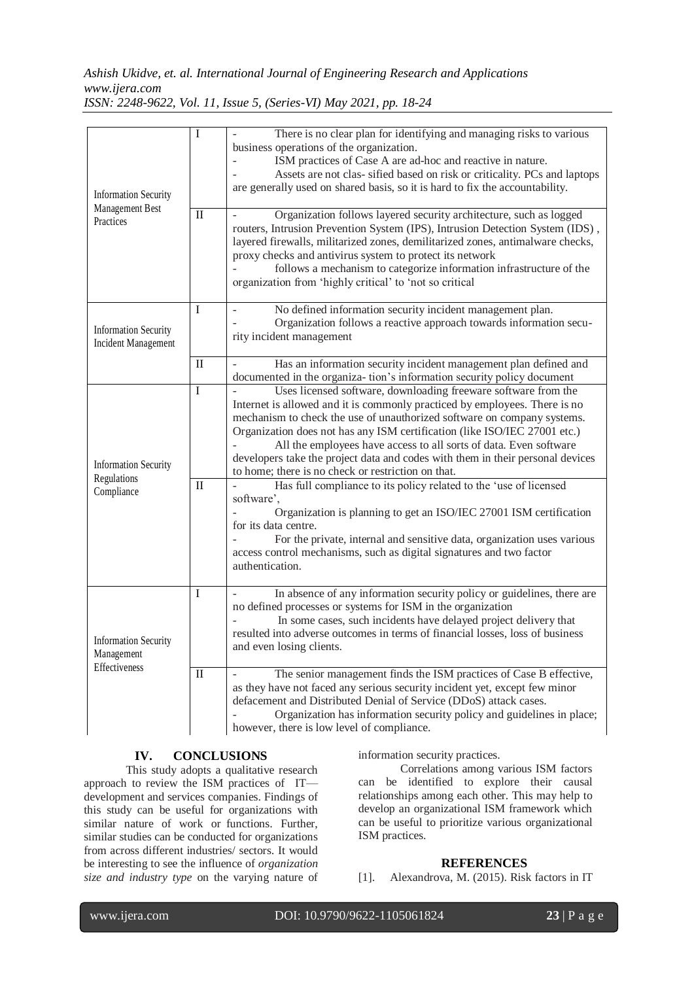### *Ashish Ukidve, et. al. International Journal of Engineering Research and Applications www.ijera.com ISSN: 2248-9622, Vol. 11, Issue 5, (Series-VI) May 2021, pp. 18-24*

| <b>Information Security</b><br>Management Best<br>Practices | I                | There is no clear plan for identifying and managing risks to various<br>business operations of the organization.<br>ISM practices of Case A are ad-hoc and reactive in nature.<br>Assets are not clas- sified based on risk or criticality. PCs and laptops<br>are generally used on shared basis, so it is hard to fix the accountability.                                                                                                                                                                                                                                                          |
|-------------------------------------------------------------|------------------|------------------------------------------------------------------------------------------------------------------------------------------------------------------------------------------------------------------------------------------------------------------------------------------------------------------------------------------------------------------------------------------------------------------------------------------------------------------------------------------------------------------------------------------------------------------------------------------------------|
|                                                             | $\mathbf{I}$     | Organization follows layered security architecture, such as logged<br>routers, Intrusion Prevention System (IPS), Intrusion Detection System (IDS),<br>layered firewalls, militarized zones, demilitarized zones, antimalware checks,<br>proxy checks and antivirus system to protect its network<br>follows a mechanism to categorize information infrastructure of the<br>organization from 'highly critical' to 'not so critical                                                                                                                                                                  |
| <b>Information Security</b><br><b>Incident Management</b>   | $\mathbf I$      | No defined information security incident management plan.<br>Organization follows a reactive approach towards information secu-<br>rity incident management                                                                                                                                                                                                                                                                                                                                                                                                                                          |
|                                                             | $\mathbf{I}$     | Has an information security incident management plan defined and<br>documented in the organiza-tion's information security policy document                                                                                                                                                                                                                                                                                                                                                                                                                                                           |
| <b>Information Security</b><br>Regulations<br>Compliance    | Ι<br>$_{\rm II}$ | Uses licensed software, downloading freeware software from the<br>Internet is allowed and it is commonly practiced by employees. There is no<br>mechanism to check the use of unauthorized software on company systems.<br>Organization does not has any ISM certification (like ISO/IEC 27001 etc.)<br>All the employees have access to all sorts of data. Even software<br>developers take the project data and codes with them in their personal devices<br>to home; there is no check or restriction on that.<br>Has full compliance to its policy related to the 'use of licensed<br>software', |
|                                                             |                  | Organization is planning to get an ISO/IEC 27001 ISM certification<br>for its data centre.<br>For the private, internal and sensitive data, organization uses various<br>access control mechanisms, such as digital signatures and two factor<br>authentication.                                                                                                                                                                                                                                                                                                                                     |
| <b>Information Security</b><br>Management<br>Effectiveness  | $\mathbf I$      | In absence of any information security policy or guidelines, there are<br>no defined processes or systems for ISM in the organization<br>In some cases, such incidents have delayed project delivery that<br>resulted into adverse outcomes in terms of financial losses, loss of business<br>and even losing clients.                                                                                                                                                                                                                                                                               |
|                                                             | $_{\rm II}$      | The senior management finds the ISM practices of Case B effective,<br>as they have not faced any serious security incident yet, except few minor<br>defacement and Distributed Denial of Service (DDoS) attack cases.<br>Organization has information security policy and guidelines in place;<br>however, there is low level of compliance.                                                                                                                                                                                                                                                         |

# **IV. CONCLUSIONS**

This study adopts a qualitative research approach to review the ISM practices of IT development and services companies. Findings of this study can be useful for organizations with similar nature of work or functions. Further, similar studies can be conducted for organizations from across different industries/ sectors. It would be interesting to see the influence of *organization size and industry type* on the varying nature of information security practices.

Correlations among various ISM factors can be identified to explore their causal relationships among each other. This may help to develop an organizational ISM framework which can be useful to prioritize various organizational ISM practices.

#### **REFERENCES**

[1]. Alexandrova, M. (2015). Risk factors in IT